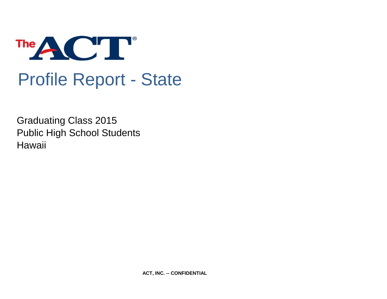

# Profile Report - State

Graduating Class 2015 Public High School Students **Hawaii** 

**ACT, INC. -- CONFIDENTIAL**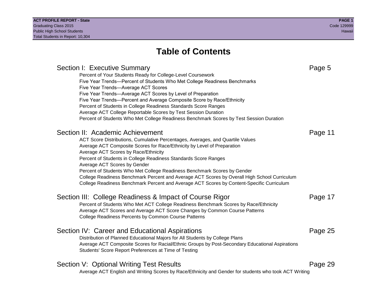## **Table of Contents**

Section I: Executive Summary **Page 5** and the section I: Executive Summary Percent of Your Students Ready for College-Level Coursework Five Year Trends—Percent of Students Who Met College Readiness Benchmarks Five Year Trends—Average ACT Scores Five Year Trends—Average ACT Scores by Level of Preparation Five Year Trends—Percent and Average Composite Score by Race/Ethnicity Percent of Students in College Readiness Standards Score Ranges Average ACT College Reportable Scores by Test Session Duration Percent of Students Who Met College Readiness Benchmark Scores by Test Session Duration Section II: Academic Achievement **Page 11** Page 11 ACT Score Distributions, Cumulative Percentages, Averages, and Quartile Values Average ACT Composite Scores for Race/Ethnicity by Level of Preparation Average ACT Scores by Race/Ethnicity Percent of Students in College Readiness Standards Score Ranges Average ACT Scores by Gender Percent of Students Who Met College Readiness Benchmark Scores by Gender College Readiness Benchmark Percent and Average ACT Scores by Overall High School Curriculum College Readiness Benchmark Percent and Average ACT Scores by Content-Specific Curriculum Section III: College Readiness & Impact of Course Rigor Page 17 Percent of Students Who Met ACT College Readiness Benchmark Scores by Race/Ethnicity Average ACT Scores and Average ACT Score Changes by Common Course Patterns College Readiness Percents by Common Course Patterns Section IV: Career and Educational Aspirations **Page 25** Page 25 Distribution of Planned Educational Majors for All Students by College Plans Average ACT Composite Scores for Racial/Ethnic Groups by Post-Secondary Educational Aspirations Students' Score Report Preferences at Time of Testing Section V: Optional Writing Test Results **Page 29** Page 29 Average ACT English and Writing Scores by Race/Ethnicity and Gender for students who took ACT Writing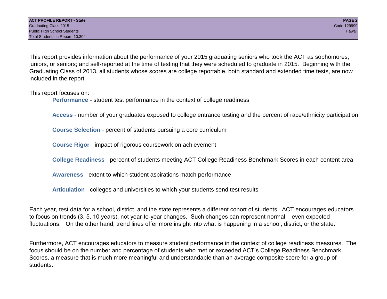This report provides information about the performance of your 2015 graduating seniors who took the ACT as sophomores, juniors, or seniors; and self-reported at the time of testing that they were scheduled to graduate in 2015. Beginning with the Graduating Class of 2013, all students whose scores are college reportable, both standard and extended time tests, are now included in the report.

This report focuses on:

**Performance** - student test performance in the context of college readiness

**Access** - number of your graduates exposed to college entrance testing and the percent of race/ethnicity participation

**Course Selection** - percent of students pursuing a core curriculum

**Course Rigor** - impact of rigorous coursework on achievement

**College Readiness** - percent of students meeting ACT College Readiness Benchmark Scores in each content area

**Awareness** - extent to which student aspirations match performance

**Articulation** - colleges and universities to which your students send test results

Each year, test data for a school, district, and the state represents a different cohort of students. ACT encourages educators to focus on trends (3, 5, 10 years), not year-to-year changes. Such changes can represent normal – even expected – fluctuations. On the other hand, trend lines offer more insight into what is happening in a school, district, or the state.

Furthermore, ACT encourages educators to measure student performance in the context of college readiness measures. The focus should be on the number and percentage of students who met or exceeded ACT's College Readiness Benchmark Scores, a measure that is much more meaningful and understandable than an average composite score for a group of students.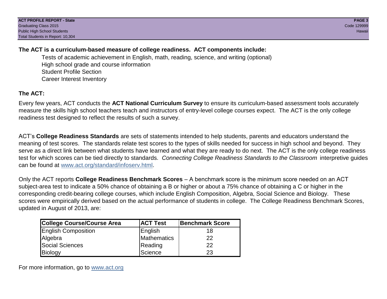### **The ACT is a curriculum-based measure of college readiness. ACT components include:**

Tests of academic achievement in English, math, reading, science, and writing (optional) High school grade and course information Student Profile Section Career Interest Inventory

## **The ACT:**

Every few years, ACT conducts the **ACT National Curriculum Survey** to ensure its curriculum-based assessment tools accurately measure the skills high school teachers teach and instructors of entry-level college courses expect. The ACT is the only college readiness test designed to reflect the results of such a survey.

ACT's **College Readiness Standards** are sets of statements intended to help students, parents and educators understand the meaning of test scores. The standards relate test scores to the types of skills needed for success in high school and beyond. They serve as a direct link between what students have learned and what they are ready to do next. The ACT is the only college readiness test for which scores can be tied directly to standards. *Connecting College Readiness Standards to the Classroom* interpretive guides can be found at www.act.org/standard/infoserv.html.

Only the ACT reports **College Readiness Benchmark Scores** – A benchmark score is the minimum score needed on an ACT subject-area test to indicate a 50% chance of obtaining a B or higher or about a 75% chance of obtaining a C or higher in the corresponding credit-bearing college courses, which include English Composition, Algebra, Social Science and Biology. These scores were empirically derived based on the actual performance of students in college. The College Readiness Benchmark Scores, updated in August of 2013, are:

| College Course/Course Area | <b>ACT Test</b> | <b>Benchmark Score</b> |
|----------------------------|-----------------|------------------------|
| <b>English Composition</b> | English         | 18                     |
| Algebra                    | Mathematics     | 22                     |
| <b>Social Sciences</b>     | Reading         | 22                     |
| Biology                    | Science         | 23                     |

For more information, go to www.act.org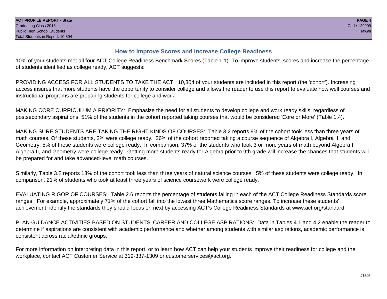### **How to Improve Scores and Increase College Readiness**

10% of your students met all four ACT College Readiness Benchmark Scores (Table 1.1). To improve students' scores and increase the percentage of students identified as college ready, ACT suggests:

PROVIDING ACCESS FOR ALL STUDENTS TO TAKE THE ACT: 10,304 of your students are included in this report (the 'cohort'). Increasing access insures that more students have the opportunity to consider college and allows the reader to use this report to evaluate how well courses and instructional programs are preparing students for college and work.

MAKING CORE CURRICULUM A PRIORITY: Emphasize the need for all students to develop college and work ready skills, regardless of postsecondary aspirations. 51% of the students in the cohort reported taking courses that would be considered 'Core or More' (Table 1.4).

MAKING SURE STUDENTS ARE TAKING THE RIGHT KINDS OF COURSES: Table 3.2 reports 9% of the cohort took less than three years of math courses. Of these students, 2% were college ready. 26% of the cohort reported taking a course sequence of Algebra I, Algebra II, and Geometry. 5% of these students were college ready. In comparison, 37% of the students who took 3 or more years of math beyond Algebra I, Algebra II, and Geometry were college ready. Getting more students ready for Algebra prior to 9th grade will increase the chances that students will be prepared for and take advanced-level math courses.

Similarly, Table 3.2 reports 13% of the cohort took less than three years of natural science courses. 5% of these students were college ready. In comparison, 21% of students who took at least three years of science coursework were college ready.

EVALUATING RIGOR OF COURSES: Table 2.6 reports the percentage of students falling in each of the ACT College Readiness Standards score ranges. For example, approximately 71% of the cohort fall into the lowest three Mathematics score ranges. To increase these students' achievement, identify the standards they should focus on next by accessing ACT's College Readiness Standards at www.act.org/standard.

PLAN GUIDANCE ACTIVITIES BASED ON STUDENTS' CAREER AND COLLEGE ASPIRATIONS: Data in Tables 4.1 and 4.2 enable the reader to determine if aspirations are consistent with academic performance and whether among students with similar aspirations, academic performance is consistent across racial/ethnic groups.

For more information on interpreting data in this report, or to learn how ACT can help your students improve their readiness for college and the workplace, contact ACT Customer Service at 319-337-1309 or customerservices@act.org.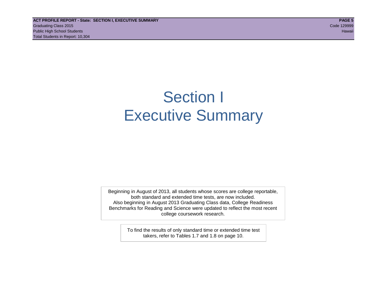## Section I Executive Summary

Beginning in August of 2013, all students whose scores are college reportable, both standard and extended time tests, are now included. Also beginning in August 2013 Graduating Class data, College Readiness Benchmarks for Reading and Science were updated to reflect the most recent college coursework research.

> To find the results of only standard time or extended time test takers, refer to Tables 1.7 and 1.8 on page 10.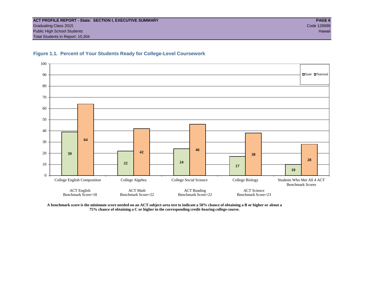

#### **Figure 1.1. Percent of Your Students Ready for College-Level Coursework**

**A benchmark score is the minimum score needed on an ACT subject-area test to indicate a 50% chance of obtaining a B or higher or about a 75% chance of obtaining a C or higher in the corresponding credit-bearing college course.**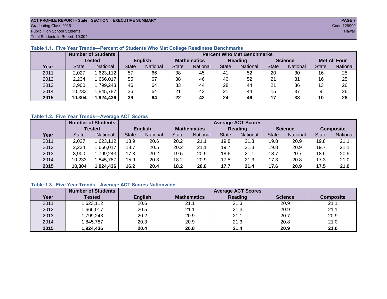#### **ACT PROFILE REPORT - State: SECTION I, EXECUTIVE SUMMARY PAGE 7** Graduating Class 2015 Code 129999 Public High School Students Hawaii Total Students in Report: 10,304

#### **Table 1.1. Five Year Trends—Percent of Students Who Met College Readiness Benchmarks**

|      |               | <b>Number of Students</b> |              |                | <b>Percent Who Met Benchmarks</b> |                 |              |          |                |          |                     |          |  |  |
|------|---------------|---------------------------|--------------|----------------|-----------------------------------|-----------------|--------------|----------|----------------|----------|---------------------|----------|--|--|
|      | <b>Tested</b> |                           |              | <b>English</b> | <b>Mathematics</b>                |                 | Reading      |          | <b>Science</b> |          | <b>Met All Four</b> |          |  |  |
| Year | <b>State</b>  | <b>National</b>           | <b>State</b> | National       | State                             | <b>National</b> | <b>State</b> | National | <b>State</b>   | National | <b>State</b>        | National |  |  |
| 2011 | 2,027         | ,623,112                  | 57           | 66             | 38                                | 45              | 41           | 52       | 20             | 30       | 16                  | 25       |  |  |
| 2012 | 2,234         | .666,017                  | 55           | 67             | 38                                | 46              | 40           | 52       | 21             | 31       | 16                  | 25       |  |  |
| 2013 | 3,900         | 1,799,243                 | 46           | 64             | 33                                | 44              | 28           | 44       | 21             | 36       | 13                  | 26       |  |  |
| 2014 | 10,233        | ,845,787                  | 36           | 64             | 21                                | 43              | 21           | 44       | 15             | 37       |                     | 26       |  |  |
| 2015 | 10,304        | 1,924,436                 | 39           | 64             | 22                                | 42              | 24           | 46       | 17             | 38       | 10                  | 28       |  |  |

#### **Table 1.2. Five Year Trends—Average ACT Scores**

|      |              | <b>Number of Students</b> |                |          |                    | <b>Average ACT Scores</b> |                |                 |                |          |                  |          |  |
|------|--------------|---------------------------|----------------|----------|--------------------|---------------------------|----------------|-----------------|----------------|----------|------------------|----------|--|
|      | Tested       |                           | <b>English</b> |          | <b>Mathematics</b> |                           | <b>Reading</b> |                 | <b>Science</b> |          | <b>Composite</b> |          |  |
| Year | <b>State</b> | <b>National</b>           | <b>State</b>   | National |                    | <b>National</b>           | <b>State</b>   | <b>National</b> | <b>State</b>   | National | <b>State</b>     | National |  |
| 2011 | 2,027        | ,623,112                  | 18.9           | 20.6     | 20.2               | 21.1                      | 19.8           | 21.3            | 19.8           | 20.9     | 19.8             | 21.1     |  |
| 2012 | 2,234        | .666,017                  | 18.7           | 20.5     | 20.2               | 21.1                      | 19.7           | 21.3            | 19.8           | 20.9     | 19.7             | 21.1     |  |
| 2013 | 3,900        | ,799,243                  | 17.3           | 20.2     | 19.5               | 20.9                      | 18.6           | 21.1            | 18.7           | 20.7     | 18.6             | 20.9     |  |
| 2014 | 10,233       | .845,787                  | 15.9           | 20.3     | 18.2               | 20.9                      | 17.5           | 21.3            | 17.3           | 20.8     | 17.3             | 21.0     |  |
| 2015 | 10,304       | 1,924,436                 | 16.2           | 20.4     | 18.2               | 20.8                      | 17.7           | 21.4            | 17.6           | 20.9     | 17.5             | 21.0     |  |

### **Table 1.3. Five Year Trends—Average ACT Scores Nationwide**

|      | <b>Number of Students</b> |                | <b>Average ACT Scores</b> |         |                |                  |  |  |  |  |  |  |  |  |
|------|---------------------------|----------------|---------------------------|---------|----------------|------------------|--|--|--|--|--|--|--|--|
| Year | Tested                    | <b>English</b> | <b>Mathematics</b>        | Reading | <b>Science</b> | <b>Composite</b> |  |  |  |  |  |  |  |  |
| 2011 | ,623,112                  | 20.6           | 21.1                      | 21.3    | 20.9           | 21.1             |  |  |  |  |  |  |  |  |
| 2012 | ,666,017                  | 20.5           | 21.1                      | 21.3    | 20.9           | 21.1             |  |  |  |  |  |  |  |  |
| 2013 | 1,799,243                 | 20.2           | 20.9                      | 21.1    | 20.7           | 20.9             |  |  |  |  |  |  |  |  |
| 2014 | ,845,787                  | 20.3           | 20.9                      | 21.3    | 20.8           | 21.0             |  |  |  |  |  |  |  |  |
| 2015 | 1,924,436                 | 20.4           | 20.8                      | 21.4    | 20.9           | 21.0             |  |  |  |  |  |  |  |  |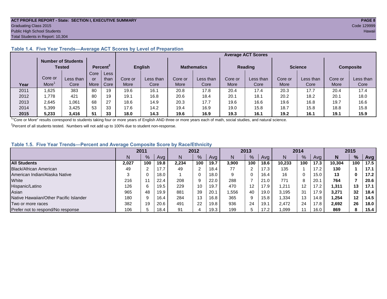#### **ACT PROFILE REPORT - State: SECTION I, EXECUTIVE SUMMARY PAGE 8** Graduating Class 2015 Code 129999 Public High School Students **Hawaii** Hawaii Alexander School Students Hawaii Alexander School Students Hawaii Hawaii Total Students in Report: 10,304

#### **Average ACT Scores Number of Students Tested Percent<sup>2</sup> English Mathematics Reading Science Composite Year** Core or  $More<sup>1</sup>$ Less than Core **Core** or More Less than Core Core or More Less than Core Core or More Less than Core Core or More Less than Core Core or More Less than Core Core or More Less than Core 2011 | 1,625 | 383 | 80 | 19 | 19.6 | 16.1 | 20.8 | 17.8 | 20.4 | 17.4 | 20.3 | 17.7 | 20.4 | 17.4 2012 | 1,778 | 421 | 80 | 19 | 19.1 | 16.8 | 20.6 | 18.4 | 20.1 | 18.1 | 20.2 | 18.2 | 20.1 | 18.0 2013 | 2,645 | 1,061 | 68 | 27 | 18.6 | 14.9 | 20.3 | 17.7 | 19.6 | 16.6 | 19.6 | 16.8 | 19.7 | 16.6 2014 | 5,399 | 3,425 | 53 | 33 | 17.6 | 14.2 | 19.4 | 16.9 | 19.0 | 15.8 | 18.7 | 15.8 | 18.8 | 15.8 **2015 5,233 3,416 51 33 18.0 14.3 19.6 16.9 19.3 16.1 19.2 16.1 19.1 15.9**

#### **Table 1.4. Five Year Trends—Average ACT Scores by Level of Preparation**

<sup>1</sup>"Core or More" results correspond to students taking four or more years of English AND three or more years each of math, social studies, and natural science.

 $2P$ ercent of all students tested. Numbers will not add up to 100% due to student non-response.

#### **Table 1.5. Five Year Trends—Percent and Average Composite Score by Race/Ethnicity**

|                                        |       | 2011 |      |       | 2012 |                   | 2013  |     |      | 2014   |     |      | 2015   |      |      |
|----------------------------------------|-------|------|------|-------|------|-------------------|-------|-----|------|--------|-----|------|--------|------|------|
|                                        | N     | %    | Ava  |       | %    | Avg               | N     | %   | Avg  | N      | %   | Ava  | N      | $\%$ | Avg  |
| <b>All Students</b>                    | 2.027 | 100  | 19.8 | 2,234 | 100  | 19.7              | 3,900 | 100 | 18.6 | 10.233 | 100 | 17.3 | 10.304 | 100  | 17.5 |
| Black/African American                 | 49    | ົ    |      | 49    |      | 18.4              | 77    |     | 17.3 | 135    |     | 17.2 | 130    |      | 17.1 |
| American Indian/Alaska Native          |       |      | 18.0 |       |      | 18.0              | 9     |     | 16.4 | 16     | 0   | 15.0 | 13     |      | 17.2 |
| White                                  | 216   |      | 22.4 | 208   |      | 22.0              | 288   |     | 21.0 | 771    | 8   | 20.1 | 764    |      | 20.6 |
| Hispanic/Latino                        | 126   | 6    | 19.5 | 229   | 10   | 19.7              | 470   | 12  | 17.9 | .211   | 12  | 17.2 | 1.311  | 13   | 17.1 |
| Asian                                  | 965   | 48   | 19.9 | 881   | 39   | 20.1              | ,556  | 40  | 19.0 | 3.195  | 31  | 17.9 | 3,271  | 32   | 18.4 |
| Native Hawaiian/Other Pacific Islander | 180   | 9    | 16.4 | 284   | 13   | 16.8 <sub>1</sub> | 365   | 9   | 15.8 | .334   | 13  | 14.8 | 1.254  | 12   | 14.5 |
| Two or more races                      | 382   | 19   | 20.6 | 491   | 22   | 19.8              | 936   | 24  | 19.7 | 2.472  | 24  | 17.8 | 2.692  | 26   | 18.0 |
| Prefer not to respond/No response      | 106   | h    | 18.4 | 91    |      | 19.3              | 199   |     | 17.2 | .099   |     | 16.0 | 869    | 8    | 15.4 |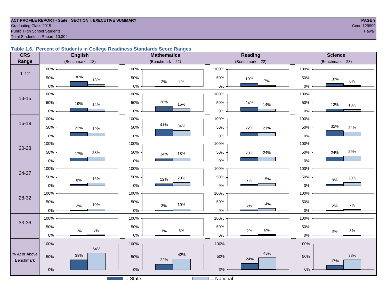#### **ACT PROFILE REPORT - State: SECTION I, EXECUTIVE SUMMARY PAGE 9** Code 129999 Craduating Class 2015 Code 129999 Public High School Students **Hawaii Hawaii Hawaii Hawaii Hawaii Hawaii Hawaii Hawaii Hawaii Hawaii Hawaii Hawaii Hawaii Hawaii Hawaii Hawaii Hawaii Hawaii Hawaii Hawaii Hawaii Hawa** Total Students in Report: 10,304

#### **Table 1.6. Percent of Students in College Readiness Standards Score Ranges**

| <b>CRS</b>    | <b>English</b>      | <b>Mathematics</b>     | <b>Reading</b>      | <b>Science</b>      |  |  |
|---------------|---------------------|------------------------|---------------------|---------------------|--|--|
| Range         | (Benchmark = $18$ ) | (Benchmark = $22$ )    | (Benchmark = $22$ ) | $(Benchmark = 23)$  |  |  |
|               | 100%                | 100%                   | 100%                | 100%                |  |  |
| $1 - 12$      | 30%<br>50%<br>13%   | 50%<br>$2\%$<br>1%     | 50%<br>19%<br>$7\%$ | 50%<br>18%<br>$6\%$ |  |  |
|               | $0\%$               | $0\%$                  | $0\%$               | 0%                  |  |  |
| $13 - 15$     | 100%                | 100%                   | 100%                | 100%                |  |  |
|               | 50%<br>19%<br>14%   | 28%<br>50%<br>15%      | 50%<br>24%<br>14%   | 50%<br>13%<br>10%   |  |  |
|               | $0\%$               | $0\%$                  | 0%                  | 0%                  |  |  |
|               | 100%                | 100%                   | 100%                | 100%                |  |  |
| $16 - 19$     | 50%<br>22%<br>19%   | 41%<br>34%<br>50%      | 50%<br>22%<br>21%   | 32%<br>50%<br>24%   |  |  |
|               | $0\%$               | $0\%$                  | $0\%$               | 0%                  |  |  |
|               | 100%                | 100%                   | 100%                | 100%                |  |  |
| $20 - 23$     | 50%<br>23%<br>17%   | 50%<br>18%<br>14%      | 50%<br>24%<br>20%   | 29%<br>50%<br>24%   |  |  |
|               | 0%                  | $0\%$                  | $0\%$               | 0%                  |  |  |
| 24-27         | 100%                | 100%                   | 100%                | 100%                |  |  |
|               | 50%<br>16%<br>8%    | 50%<br>20%<br>12%      | 50%<br>15%<br>7%    | 50%<br>20%<br>9%    |  |  |
|               | $0\%$               | $0\%$                  | $0\%$               | 0%                  |  |  |
| 28-32         | 100%                | 100%                   | 100%                | 100%                |  |  |
|               | 50%<br>10%<br>2%    | 50%<br>10%<br>$3%$     | 50%<br>14%<br>5%    | 50%<br>$7\%$<br>2%  |  |  |
|               | $0\%$               | $0\%$                  | $0\%$               | 0%                  |  |  |
|               | 100%                | 100%                   | 100%                | 100%                |  |  |
| 33-36         | 50%<br>$5\%$        | 50%                    | 50%<br>$6\%$        | 50%                 |  |  |
|               | 1%<br>$0\%$         | $3%$<br>$1\%$<br>$0\%$ | 2%<br>$0\%$         | $3%$<br>$0\%$<br>0% |  |  |
|               | 100%                | 100%                   | 100%                | 100%                |  |  |
| % At or Above | 64%                 | 42%                    | 46%                 |                     |  |  |
| Benchmark     | 39%<br>50%          | 50%<br>22%             | 50%<br>24%          | 38%<br>50%<br>17%   |  |  |
|               | $0\%$               | $0\%$                  | $0\%$               | $0\%$               |  |  |
|               |                     | $\overline{S}$ = State | $=$ National        |                     |  |  |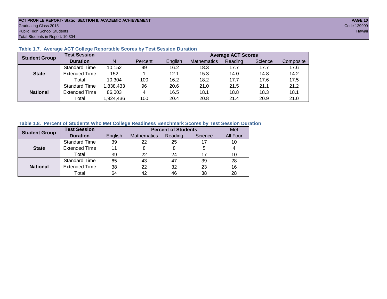#### **ACT PROFILE REPORT- State: SECTION II, ACADEMIC ACHIEVEMENT PAGE 10** Graduating Class 2015 Code 129999 Public High School Students Hawaii Total Students in Report: 10,304

| <b>Student Group</b> | <b>Test Session</b>  |          |         |         | <b>Average ACT Scores</b> |         |         |           |  |  |  |  |  |
|----------------------|----------------------|----------|---------|---------|---------------------------|---------|---------|-----------|--|--|--|--|--|
|                      | <b>Duration</b>      | N        | Percent | English | <b>Mathematics</b>        | Reading | Science | Composite |  |  |  |  |  |
|                      | <b>Standard Time</b> | 10,152   | 99      | 16.2    | 18.3                      | 17.7    | 17.7    | 17.6      |  |  |  |  |  |
| <b>State</b>         | <b>Extended Time</b> | 152      |         | 12.1    | 15.3                      | 14.0    | 14.8    | 14.2      |  |  |  |  |  |
|                      | Total                | 10,304   | 100     | 16.2    | 18.2                      | 17.7    | 17.6    | 17.5      |  |  |  |  |  |
|                      | <b>Standard Time</b> | ,838,433 | 96      | 20.6    | 21.0                      | 21.5    | 21.1    | 21.2      |  |  |  |  |  |
| <b>National</b>      | <b>Extended Time</b> | 86,003   | 4       | 16.5    | 18.1                      | 18.8    | 18.3    | 18.1      |  |  |  |  |  |
|                      | Total                | ,924,436 | 100     | 20.4    | 20.8                      | 21.4    | 20.9    | 21.0      |  |  |  |  |  |

#### **Table 1.7. Average ACT College Reportable Scores by Test Session Duration**

#### **Table 1.8. Percent of Students Who Met College Readiness Benchmark Scores by Test Session Duration**

| <b>Student Group</b> | <b>Test Session</b>  |         | Met         |         |         |          |
|----------------------|----------------------|---------|-------------|---------|---------|----------|
|                      | <b>Duration</b>      | English | Mathematics | Reading | Science | All Four |
|                      | Standard Time        | 39      | 22          | 25      | 17      | 10       |
| <b>State</b>         | <b>Extended Time</b> | 11      |             | 8       | 5       |          |
|                      | Total                | 39      | 22          | 24      | 17      | 10       |
|                      | <b>Standard Time</b> | 65      | 43          | 47      | 39      | 28       |
| <b>National</b>      | <b>Extended Time</b> | 38      | 22          | 32      | 23      | 16       |
|                      | Total                | 64      | 42          | 46      | 38      | 28       |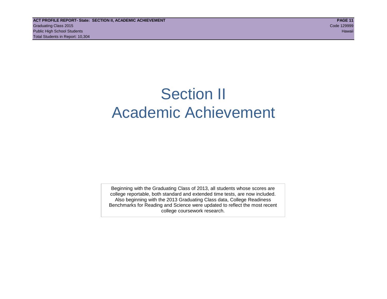## Section II Academic Achievement

Beginning with the Graduating Class of 2013, all students whose scores are college reportable, both standard and extended time tests, are now included. Also beginning with the 2013 Graduating Class data, College Readiness Benchmarks for Reading and Science were updated to reflect the most recent college coursework research.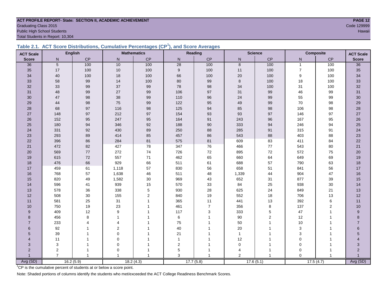#### **ACT PROFILE REPORT- State: SECTION II, ACADEMIC ACHIEVEMENT PAGE 12 Graduating Class 2015** Code 129999 Public High School Students Hawaii

Total Students in Report: 10,304

|  | Table 2.1. ACT Score Distributions, Cumulative Percentages (CP <sup>1</sup> ), and Score Averages |  |  |  |
|--|---------------------------------------------------------------------------------------------------|--|--|--|
|  |                                                                                                   |  |  |  |

| <b>ACT Scale</b>        |                | <b>English</b> |                       | <b>Mathematics</b> |                | Reading        |                | <b>Science</b> |                | Composite      | <b>ACT Scale</b> |
|-------------------------|----------------|----------------|-----------------------|--------------------|----------------|----------------|----------------|----------------|----------------|----------------|------------------|
| <b>Score</b>            | N              | CP             | $\mathsf{N}$          | CP                 | ${\sf N}$      | $\mathsf{CP}$  | ${\sf N}$      | CP             | ${\sf N}$      | CP             | <b>Score</b>     |
| 36                      | 5              | 100            | 10                    | 100                | 28             | 100            | 8              | 100            | $\mathbf{1}$   | 100            | 36               |
| 35                      | 17             | 100            | $10$                  | 100                | $9\,$          | 100            | 11             | 100            | $\overline{7}$ | 100            | 35               |
| 34                      | 40             | 100            | 18                    | 100                | 66             | 100            | 20             | 100            | 9              | 100            | 34               |
| 33                      | 58             | 99             | 14                    | 100                | 80             | 99             | 8              | 100            | 18             | 100            | 33               |
| 32                      | 33             | 99             | 37                    | 99                 | 78             | 98             | 34             | 100            | 31             | 100            | 32               |
| 31                      | 48             | 99             | 27                    | 99                 | 106            | 97             | 31             | 99             | 46             | 99             | 31               |
| 30                      | 47             | 98             | 38                    | 99                 | 110            | 96             | 24             | 99             | 55             | 99             | $30\,$           |
| 29                      | 44             | 98             | 75                    | 99                 | 122            | 95             | 49             | 99             | 70             | 98             | 29               |
| 28                      | 68             | 97             | 116                   | 98                 | 125            | 94             | 85             | 98             | 106            | 98             | 28               |
| 27                      | 148            | 97             | 212                   | 97                 | 154            | 93             | 93             | 97             | 146            | 97             | 27               |
| 26                      | 152            | 95             | 247                   | 95                 | 164            | 91             | 243            | 96             | 167            | 95             | 26               |
| 25                      | 180            | 94             | 346                   | 92                 | 188            | 90             | 333            | 94             | 246            | 94             | 25               |
| 24                      | 331            | 92             | 430                   | 89                 | 250            | 88             | 285            | 91             | 315            | 91             | 24               |
| 23                      | 293            | 89             | 414                   | 85                 | 457            | 86             | 543            | 88             | 403            | 88             | 23               |
| 22                      | 396            | 86             | 284                   | 81                 | 575            | 81             | 609            | 83             | 411            | 84             | 22               |
| 21                      | 472            | 82             | 427                   | 78                 | 347            | 76             | 466            | $77$           | 543            | 80             | 21               |
| 20                      | 569            | 77             | 272                   | 74                 | 726            | 72             | 895            | $72\,$         | 572            | 75             | $20\,$           |
| 19                      | 615            | 72             | 557                   | $71$               | 462            | 65             | 660            | 64             | 649            | 69             | 19               |
| 18                      | 476            | 66             | 929                   | 66                 | 511            | 61             | 688            | 57             | 790            | 63             | 18               |
| 17                      | 459            | 61             | 1,118                 | 57                 | 830            | 56             | 658            | 51             | 841            | 56             | 17               |
| 16                      | 768            | 57             | 1,638                 | 46                 | 511            | 48             | 1,339          | 44             | 904            | 47             | 16               |
| 15                      | 820            | 49             | 1,582                 | 30                 | 969            | 43             | 652            | 31             | 877            | 39             | 15               |
| 14                      | 596            | 41             | 939                   | 15                 | 570            | 33             | 84             | 25             | 938            | 30             | 14               |
| 13                      | 578            | 36             | 338                   | $\mathbf 5$        | 930            | 28             | 625            | 24             | 849            | 21             | 13               |
| 12                      | 508            | 30             | 155                   | $\overline{2}$     | 840            | 19             | 552            | 18             | 706            | 13             | 12               |
| 11                      | 581            | 25             | 31                    | $\mathbf{1}$       | 365            | 11             | 441            | 13             | 392            | 6              | 11               |
| 10                      | 750            | 19             | 23                    | 1                  | 461            | $\overline{7}$ | 356            | 8              | 137            | $\overline{2}$ | 10               |
| 9                       | 409            | 12             | 9                     |                    | 117            | 3              | 333            | $\overline{5}$ | 47             |                | 9                |
| 8                       | 456            | 8              | $\overline{1}$        |                    | $\,6$          |                | 90             | $\overline{c}$ | 12             |                | 8                |
| $\overline{7}$          | 233            | 4              | $\boldsymbol{\Delta}$ |                    | 75             |                | 50             | 1              | 10             |                | 7                |
| 6                       | 92             |                | $\sqrt{2}$            |                    | 40             |                | 20             |                | $\sqrt{3}$     |                | 6                |
| 5                       | 39             |                | $\mathbf 0$           |                    | 21             |                | $\mathbf{1}$   |                | 3              |                | 5                |
| $\overline{\mathbf{A}}$ | 11             |                | $\mathbf 0$           |                    | $\overline{1}$ |                | 12             |                | $\mathbf 0$    |                |                  |
| 3                       | 3              |                | $\mathbf 0$           |                    | 2              |                | $\mathbf 0$    |                | $\mathbf 0$    |                | 3                |
| $\overline{2}$          | $\overline{2}$ | 1              | $\Omega$              |                    | 5              |                | 4              | 1              | $\Omega$       |                | 2                |
|                         | $\overline{7}$ | $\mathbf{1}$   |                       |                    | 3              |                | $\overline{2}$ |                | $\Omega$       | -1             | Avg (SD)         |
| Avg (SD)                |                | 16.2(5.9)      |                       | 18.2(4.3)          |                | 17.7(5.8)      |                | 17.6(5.1)      |                | 17.5(4.7)      |                  |

<sup>1</sup>CP is the cumulative percent of students at or below a score point.

Note: Shaded portions of columns identify the students who met/exceeded the ACT College Readiness Benchmark Scores.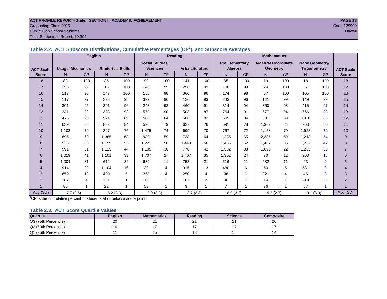#### **ACT PROFILE REPORT- State: SECTION II, ACADEMIC ACHIEVEMENT PAGE 13** Graduating Class 2015 Code 129999 Public High School Students Hawaii

Total Students in Report: 10,304

|                  | rasio E.E. 7101 Casocolo Biotrisationoj Camalativo i creontagoo (Cr. 7) ana Casocolo Averagoo | <b>English</b> |                          |     | Reading<br><b>Mathematics</b> |           |                        |                         |                       |           |                     |           |                        |     |                  |
|------------------|-----------------------------------------------------------------------------------------------|----------------|--------------------------|-----|-------------------------------|-----------|------------------------|-------------------------|-----------------------|-----------|---------------------|-----------|------------------------|-----|------------------|
|                  |                                                                                               |                |                          |     | <b>Social Studies/</b>        |           |                        |                         | <b>Pre/Elementary</b> |           | Algebra/ Coordinate |           | <b>Plane Geometry/</b> |     |                  |
| <b>ACT Scale</b> | <b>Usage/ Mechanics</b>                                                                       |                | <b>Rhetorical Skills</b> |     | <b>Sciences</b>               |           | <b>Arts/Literature</b> |                         | Algebra               |           | <b>Geometry</b>     |           | <b>Trigonometry</b>    |     | <b>ACT Scale</b> |
| <b>Score</b>     | N                                                                                             | <b>CP</b>      | N <sub>1</sub>           | CP  | N                             | <b>CP</b> | N                      | <b>CP</b>               | N                     | <b>CP</b> | N.                  | <b>CP</b> | N.                     | CP  | <b>Score</b>     |
| 18               | 83                                                                                            | 100            | 35                       | 100 | 99                            | 100       | 141                    | 100                     | 85                    | 100       | 19                  | 100       | 18                     | 100 | 18               |
| 17               | 158                                                                                           | 99             | 16                       | 100 | 148                           | 99        | 256                    | 99                      | 108                   | 99        | 24                  | 100       | 5                      | 100 | 17               |
| 16               | 117                                                                                           | 98             | 147                      | 100 | 158                           | 98        | 360                    | 96                      | 174                   | 98        | 57                  | 100       | 105                    | 100 | 16               |
| 15               | 117                                                                                           | 97             | 228                      | 98  | 397                           | 96        | 126                    | 93                      | 243                   | 96        | 141                 | 99        | 149                    | 99  | 15               |
| 14               | 301                                                                                           | 95             | 301                      | 96  | 243                           | 92        | 460                    | 91                      | 314                   | 94        | 360                 | 98        | 415                    | 97  | 14               |
| 13               | 231                                                                                           | 92             | 388                      | 93  | 579                           | 90        | 503                    | 87                      | 764                   | 91        | 577                 | 94        | 766                    | 93  | 13               |
| 12               | 475                                                                                           | 90             | 521                      | 89  | 506                           | 84        | 586                    | 82                      | 605                   | 84        | 501                 | 89        | 618                    | 86  | 12               |
| 11               | 639                                                                                           | 86             | 832                      | 84  | 590                           | 79        | 627                    | 76                      | 591                   | 78        | 1,362               | 84        | 763                    | 80  | 11               |
| 10               | 1,103                                                                                         | 79             | 827                      | 76  | 1,475                         | 74        | 699                    | 70                      | 767                   | 72        | 1,158               | 70        | 1,928                  | 72  | 10               |
| 9                | 895                                                                                           | 69             | 1.365                    | 68  | 989                           | 59        | 738                    | 64                      | 1,285                 | 65        | 2,385               | 59        | 1,218                  | 54  | 9                |
| 8                | 936                                                                                           | 60             | 1.159                    | 55  | 1,221                         | 50        | 1.449                  | 56                      | 1,435                 | 52        | 1.407               | 36        | 1,237                  | 42  | 8                |
| $\overline{7}$   | 991                                                                                           | 51             | 1,115                    | 44  | 1,105                         | 38        | 778                    | 42                      | 1,502                 | 38        | 1,090               | 22        | 1,233                  | 30  | $\overline{7}$   |
| 6                | 1,019                                                                                         | 41             | 1,101                    | 33  | 1,707                         | 27        | 1,467                  | 35                      | 1,302                 | 24        | 70                  | 12        | 903                    | 18  | 6                |
| 5                | 1,004                                                                                         | 31             | 612                      | 22  | 632                           | 11        | 753                    | 21                      | 516                   | 11        | 682                 | 11        | 93                     | 9   | 5                |
|                  | 914                                                                                           | 22             | 1.104                    | 16  | 39                            | 4         | 915                    | 13                      | 480                   | 6         | 60                  | 5         | 531                    | 8   | $\overline{4}$   |
| 3                | 859                                                                                           | 13             | 400                      | 5   | 258                           | 4         | 250                    | 4                       | 96                    |           | 321                 | 4         | 46                     | 3   | 3                |
| 2                | 382                                                                                           | 4              | 131                      |     | 105                           | 2         | 187                    | $\overline{2}$          | 30                    |           | 14                  |           | 219                    | 3   | $\overline{2}$   |
|                  | 80                                                                                            |                | 22                       |     | 53                            |           | 9                      | $\overline{\mathbf{A}}$ | $\overline{7}$        |           | 76                  |           | 57                     |     |                  |
| Avg (SD)         | 7.7(3.6)                                                                                      |                | 8.2(3.3)                 |     | 8.9(3.3)                      |           | 8.7(3.8)               |                         | 8.9(3.2)              |           | 9.2(2.7)            |           | 9.1(3.0)               |     | Avg (SD)         |

**Table 2.2. ACT Subscore Distributions, Cumulative Percentages (CP<sup>1</sup> ), and Subscore Averages**

<sup>1</sup>CP is the cumulative percent of students at or below a score point.

#### **Table 2.3. ACT Score Quartile Values**

| <b>Quartile</b>      | Enalish | <b>Mathematics</b> | <b>Reading</b> | <b>Science</b> | Composite |
|----------------------|---------|--------------------|----------------|----------------|-----------|
| Q3 (75th Percentile) | 20      | c.<br><u>_</u>     | n.<br><u>_</u> | <u>.</u>       | 20        |
| Q2 (50th Percentile) | 16      |                    |                |                |           |
| Q1 (25th Percentile) |         |                    |                |                |           |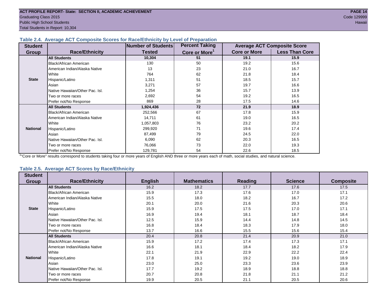#### **Table 2.4. Average ACT Composite Scores for Race/Ethnicity by Level of Preparation**

| <b>Student</b>  |                                 | Number of Students | <b>Percent Taking</b>     |                     | <b>Average ACT Composite Score</b> |
|-----------------|---------------------------------|--------------------|---------------------------|---------------------|------------------------------------|
| <b>Group</b>    | <b>Race/Ethnicity</b>           | <b>Tested</b>      | Core or More <sup>1</sup> | <b>Core or More</b> | <b>Less Than Core</b>              |
|                 | <b>All Students</b>             | 10,304             | 51                        | 19.1                | 15.9                               |
|                 | Black/African American          | 130                | 50                        | 19.2                | 15.6                               |
|                 | American Indian/Alaska Native   | 13                 | 23                        | 21.0                | 16.7                               |
|                 | <b>I</b> White                  | 764                | 62                        | 21.8                | 18.4                               |
| <b>State</b>    | Hispanic/Latino                 | 1,311              | 51                        | 18.5                | 15.7                               |
|                 | Asian                           | 3,271              | 57                        | 19.7                | 16.6                               |
|                 | Native Hawaiian/Other Pac. Isl. | 1,254              | 36                        | 15.7                | 13.9                               |
|                 | Two or more races               | 2,692              | 54                        | 19.2                | 16.5                               |
|                 | Prefer not/No Response          | 869                | 28                        | 17.5                | 14.6                               |
|                 | <b>All Students</b>             | 1,924,436          | 72                        | 21.9                | 18.9                               |
|                 | Black/African American          | 252,566            | 67                        | 17.8                | 15.9                               |
|                 | American Indian/Alaska Native   | 14,711             | 61                        | 19.0                | 16.5                               |
|                 | <b>White</b>                    | 1,057,803          | 76                        | 23.2                | 20.2                               |
| <b>National</b> | Hispanic/Latino                 | 299,920            | 71                        | 19.6                | 17.4                               |
|                 | Asian                           | 87,499             | 79                        | 24.5                | 22.0                               |
|                 | Native Hawaiian/Other Pac. Isl. | 6,090              | 62                        | 20.3                | 16.5                               |
|                 | Two or more races               | 76,066             | 73                        | 22.0                | 19.3                               |
|                 | Prefer not/No Response          | 129,781            | 54                        | 22.6                | 18.5                               |

<sup>1</sup>"Core or More" results correspond to students taking four or more years of English AND three or more years each of math, social studies, and natural science.

#### **Table 2.5. Average ACT Scores by Race/Ethnicity**

| <b>Student</b><br><b>Group</b> | <b>Race/Ethnicity</b>           | <b>English</b> | <b>Mathematics</b> | <b>Reading</b> | <b>Science</b> | <b>Composite</b> |
|--------------------------------|---------------------------------|----------------|--------------------|----------------|----------------|------------------|
|                                |                                 |                |                    |                |                |                  |
|                                | <b>All Students</b>             | 16.2           | 18.2               | 17.7           | 17.6           | 17.5             |
|                                | <b>Black/African American</b>   | 15.9           | 17.3               | 17.6           | 17.0           | 17.1             |
|                                | American Indian/Alaska Native   | 15.5           | 18.0               | 18.2           | 16.7           | 17.2             |
|                                | White                           | 20.1           | 20.0               | 21.6           | 20.3           | 20.6             |
| <b>State</b>                   | Hispanic/Latino                 | 15.9           | 17.5               | 17.5           | 17.0           | 17.1             |
|                                | Asian                           | 16.9           | 19.4               | 18.1           | 18.7           | 18.4             |
|                                | Native Hawaiian/Other Pac. Isl. | 12.5           | 15.9               | 14.4           | 14.8           | 14.5             |
|                                | Two or more races               | 16.8           | 18.4               | 18.3           | 17.9           | 18.0             |
|                                | Prefer not/No Response          | 13.7           | 16.6               | 15.5           | 15.6           | 15.4             |
|                                | <b>All Students</b>             | 20.4           | 20.8               | 21.4           | 20.9           | 21.0             |
|                                | Black/African American          | 15.9           | 17.2               | 17.4           | 17.3           | 17.1             |
|                                | American Indian/Alaska Native   | 16.6           | 18.1               | 18.4           | 18.2           | 17.9             |
|                                | White                           | 22.1           | 21.9               | 22.9           | 22.2           | 22.4             |
| <b>National</b>                | Hispanic/Latino                 | 17.8           | 19.1               | 19.2           | 19.0           | 18.9             |
|                                | Asian                           | 23.0           | 25.0               | 23.3           | 23.6           | 23.9             |
|                                | Native Hawaiian/Other Pac. Isl. | 17.7           | 19.2               | 18.9           | 18.8           | 18.8             |
|                                | Two or more races               | 20.7           | 20.8               | 21.8           | 21.1           | 21.2             |
|                                | Prefer not/No Response          | 19.9           | 20.5               | 21.1           | 20.5           | 20.6             |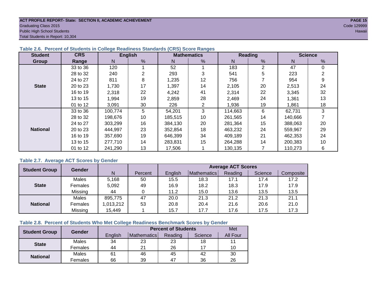#### **ACT PROFILE REPORT- State: SECTION II, ACADEMIC ACHIEVEMENT** *PAGE 15* Graduating Class 2015 Code 129999 Public High School Students Hawaii Total Students in Report: 10,304

#### **Table 2.6. Percent of Students in College Readiness Standards (CRS) Score Ranges**

| <b>Student</b>  | <b>CRS</b> |         | <b>English</b> |         | <b>Mathematics</b>    |         | Reading | <b>Science</b> |          |  |
|-----------------|------------|---------|----------------|---------|-----------------------|---------|---------|----------------|----------|--|
| Group           | Range      | N       | %              | N       | %                     | N       | %       | N              | %        |  |
|                 | 33 to 36   | 120     |                | 52      |                       | 183     | 2       | 47             | $\Omega$ |  |
|                 | 28 to 32   | 240     | 2              | 293     | 3                     | 541     | 5       | 223            |          |  |
|                 | 24 to 27   | 811     | 8              | 1,235   | 12                    | 756     |         | 954            |          |  |
| <b>State</b>    | 20 to 23   | 1,730   | 17             | 1,397   | 14                    | 2,105   | 20      | 2,513          | 24       |  |
|                 | 16 to 19   | 2,318   | 22             | 4,242   | 41                    | 2,314   | 22      | 3,345          | 32       |  |
|                 | 13 to 15   | 1,994   | 19             | 2,859   | 28                    | 2,469   | 24      | 1,361          | 13       |  |
|                 | 01 to 12   | 3,091   | 30             | 226     | $\mathbf{2}^{\prime}$ | 1,936   | 19      | 1.861          | 18       |  |
|                 | 33 to 36   | 100,774 | 5              | 54,201  | 3                     | 114,663 | 6       | 62,731         | 3        |  |
|                 | 28 to 32   | 198,676 | 10             | 185,515 | 10                    | 261.565 | 14      | 140,666        |          |  |
|                 | 24 to 27   | 303,299 | 16             | 384,130 | 20                    | 281.364 | 15      | 388,063        | 20       |  |
| <b>National</b> | 20 to 23   | 444,997 | 23             | 352,854 | 18                    | 463,232 | 24      | 559,967        | 29       |  |
|                 | 16 to 19   | 357,690 | 19             | 646,399 | 34                    | 409,189 | 21      | 462,353        | 24       |  |
|                 | 13 to 15   | 277,710 | 14             | 283,831 | 15                    | 264,288 | 14      | 200,383        | 10       |  |
|                 | 01 to 12   | 241.290 | 13             | 17.506  |                       | 130,135 |         | 110,273        | 6        |  |

#### **Table 2.7. Average ACT Scores by Gender**

| <b>Student Group</b> | <b>Gender</b> |           |         |         |                    | <b>Average ACT Scores</b> |         |           |
|----------------------|---------------|-----------|---------|---------|--------------------|---------------------------|---------|-----------|
|                      |               | N         | Percent | English | <b>Mathematics</b> | Reading                   | Science | Composite |
|                      | Males         | 5,168     | 50      | 15.5    | 18.3               | 17.1                      | 17.4    | 17.2      |
| <b>State</b>         | Females       | 5,092     | 49      | 16.9    | 18.2               | 18.3                      | 17.9    | 17.9      |
|                      | Missing       | 44        |         | 11.2    | 15.0               | 13.6                      | 13.5    | 13.5      |
|                      | Males         | 895,775   | 47      | 20.0    | 21.3               | 21.2                      | 21.3    | 21.1      |
| <b>National</b>      | Females       | 1,013,212 | 53      | 20.8    | 20.4               | 21.6                      | 20.6    | 21.0      |
|                      | Missing       | 15,449    |         | 15.7    | 17.7               | 17.6                      | 17.5    | 17.3      |

#### **Table 2.8. Percent of Students Who Met College Readiness Benchmark Scores by Gender**

| <b>Student Group</b> | <b>Gender</b> |         |                    | <b>Percent of Students</b> |         | Met      |
|----------------------|---------------|---------|--------------------|----------------------------|---------|----------|
|                      |               | English | <b>Mathematics</b> | Reading                    | Science | All Four |
| <b>State</b>         | Males         | 34      | 23                 | 23                         | 18      |          |
|                      | Females       | 44      | 21                 | 26                         |         | 10       |
| <b>National</b>      | Males         | 61      | 46                 | 45                         | 42      | 30       |
|                      | Females       | 66      | 39                 | 47                         | 36      | 26       |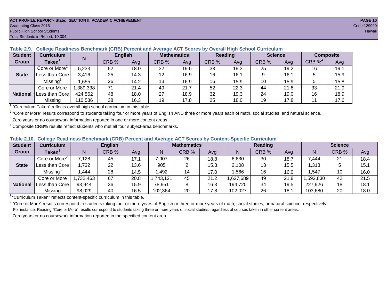#### **ACT PROFILE REPORT- State: SECTION II, ACADEMIC ACHIEVEMENT PAGE 16** Graduating Class 2015 Code 129999 Public High School Students **Hawaii** Hawaii Alexander School Students Hawaii Hawaii Hawaii Hawaii Hawaii Hawaii Hawaii Hawaii Hawaii Hawaii Hawaii Hawaii Hawaii Hawaii Hawaii Hawaii Hawaii Hawaii Hawaii Hawaii Hawaii Hawai Total Students in Report: 10,304

#### **Table 2.9. College Readiness Benchmark (CRB) Percent and Average ACT Scores by Overall High School Curriculum**

| <b>Student</b>  | Curriculum                  | N        |       | <b>English</b> | <b>Mathematics</b> |      | <b>Reading</b> |      |       | <b>Science</b> |                       | <b>Composite</b> |
|-----------------|-----------------------------|----------|-------|----------------|--------------------|------|----------------|------|-------|----------------|-----------------------|------------------|
| <b>Group</b>    | $\mathsf{Taken}^\mathsf{T}$ |          | CRB % | Avg            | CRB %              | Avg  | CRB %          | Avg  | CRB % | Ava            | $CRB \%$ <sup>4</sup> | Avg              |
|                 | Core or More <sup>2</sup>   | 5,233    | 52    | 18.0           | 32                 | 19.6 | 33             | 19.3 | 25    | 19.2           | 16                    | 19.1             |
| <b>State</b>    | Less than Core              | 3,416    | 25    | 14.3           | 12                 | 16.9 | 16             | 16.1 |       | 16.1           |                       | 15.9             |
|                 | $M$ issing $3$              | ,655     | 26    | 14.2           | 13                 | 16.9 | 16             | 15.9 | 10    | 15.9           |                       | 15.8             |
|                 | Core or More                | ,389,338 | 71    | 21.4           | 49                 | 21.7 | 52             | 22.3 | 44    | 21.8           | 33                    | 21.9             |
| <b>National</b> | Less than Core              | 424,562  | 48    | 18.0           | 27                 | 18.9 | 32             | 19.3 | 24    | 19.0           | 16                    | 18.9             |
|                 | Missing                     | 110,536  | 38    | 16.3           | 19                 | 17.8 | 25             | 18.0 | 19    | 17.8           |                       | 17.6             |

<sup>1</sup> "Curriculum Taken" reflects overall high school curriculum in this table.

 $^2$  "Core or More" results correspond to students taking four or more years of English AND three or more years each of math, social studies, and natural science.

 $3$  Zero years or no coursework information reported in one or more content areas.

 $4$  Composite CRB% results reflect students who met all four subject-area benchmarks.

#### **Table 2.10. College Readiness Benchmark (CRB) Percent and Average ACT Scores by Content-Specific Curriculum**

| <b>Student</b>  | Curriculum                |          | <b>English</b> |      |           | <b>Mathematics</b> |      |          | Reading |      |          | <b>Science</b> |      |  |
|-----------------|---------------------------|----------|----------------|------|-----------|--------------------|------|----------|---------|------|----------|----------------|------|--|
| Group           | <b>Taken</b>              |          | CRB %          | Avg  |           | CRB %              | Avg  | N        | CRB %   | Avg  | N        | CRB %          | Avg  |  |
|                 | Core or More <sup>2</sup> | 7,128    | 45             | 17.1 | 7,907     | 26                 | 18.8 | 6,630    | 30      | 18.7 | 7,444    | 21             | 18.4 |  |
| <b>State</b>    | Less than Core            | ,732     | 22             | 13.6 | 905       |                    | 15.3 | 2,108    | 13      | 15.5 | 1,313    |                | 15.1 |  |
|                 | Missing                   | .444     | 28             | 14.5 | .492      | 14                 | 17.0 | ,566     | 16      | 16.0 | ,547     | 10             | 16.0 |  |
|                 | Core or More              | ,732,463 | 67             | 20.8 | 1,743,121 | 45                 | 21.2 | .627,689 | 49      | 21.8 | ,592,830 | 42             | 21.5 |  |
| <b>National</b> | Less than Core            | 93,944   | 36             | 15.9 | 78,951    |                    | 16.3 | 194,720  | 34      | 19.5 | 227,926  | 18             | 18.1 |  |
|                 | Missing                   | 98,029   | 40             | 16.5 | 102,364   | 20                 | 17.8 | 102,027  | 26      | 18.7 | 103,680  | 20             | 18.0 |  |

<sup>1</sup>"Curriculum Taken" reflects content-specific curriculum in this table.

<sup>2</sup> "Core or More" results correspond to students taking four or more years of English or three or more years of math, social studies, or natural science, respectively. For instance, Reading "Core or More" results correspond to students taking three or more years of social studies, regardless of courses taken in other content areas.

 $3$  Zero years or no coursework information reported in the specified content area.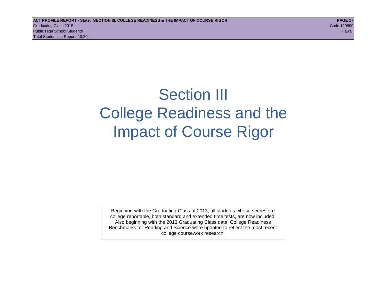## Section III College Readiness and the Impact of Course Rigor

Beginning with the Graduating Class of 2013, all students whose scores are college reportable, both standard and extended time tests, are now included. Also beginning with the 2013 Graduating Class data, College Readiness Benchmarks for Reading and Science were updated to reflect the most recent college coursework research.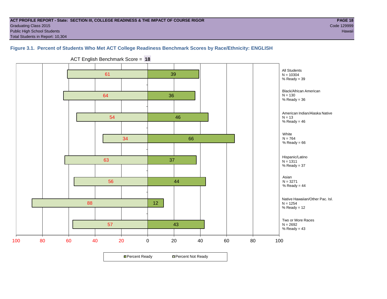#### **ACT PROFILE REPORT - State: SECTION III, COLLEGE READINESS & THE IMPACT OF COURSE RIGOR PAGE 18** Graduating Class 2015 Code 129999 Public High School Students **Hawaii** Hawaii Alexander School Students Hawaii Alexander School Students Hawaii Hawaii Total Students in Report: 10,304

### **Figure 3.1. Percent of Students Who Met ACT College Readiness Benchmark Scores by Race/Ethnicity: ENGLISH**

57 88 56 63 34 54 64 61 43 12 44 37 66 46 36 39 100 80 60 40 20 0 20 40 60 80 100 Asian  $N = 3271$ %  $Ready = 44$ Two or More Races  $N = 2692$ %  $Ready = 43$ Hispanic/Latino  $N = 1311$ % Ready = 37 White  $N = 764$ %  $Reachy = 66$ American Indian/Alaska Native  $N = 13$  $%$  Ready = 46 Black/African American  $N = 130$ %  $Reach = 36$ All Students  $N = 10304$  $%$  Ready = 39 Native Hawaiian/Other Pac. Isl.  $N = 1254$ % Ready = 12

ACT English Benchmark Score = **18**

**□ Percent Ready DPercent Not Ready**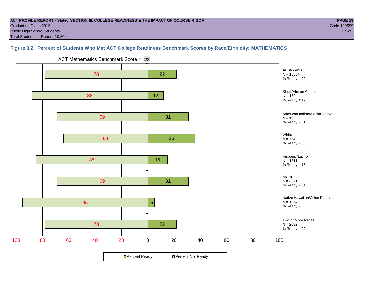#### **ACT PROFILE REPORT - State: SECTION III, COLLEGE READINESS & THE IMPACT OF COURSE RIGOR PAGE 19** Graduating Class 2015 Code 129999 Public High School Students **Hawaii** Hawaii Alexander School Students Hawaii Alexander School Students Hawaii Hawaii Total Students in Report: 10,304

### **Figure 3.2. Percent of Students Who Met ACT College Readiness Benchmark Scores by Race/Ethnicity: MATHEMATICS**



**□ Percent Ready DPercent Not Ready** 

ACT Mathematics Benchmark Score = **22**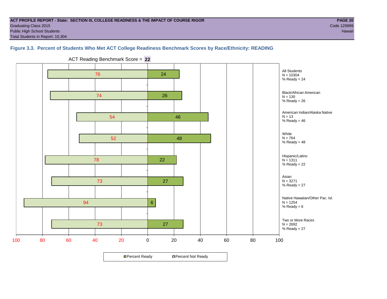#### **ACT PROFILE REPORT - State: SECTION III, COLLEGE READINESS & THE IMPACT OF COURSE RIGOR PAGE 20** Graduating Class 2015 Code 129999 Public High School Students **Hawaii** Hawaii Alexander School Students Hawaii Alexander School Students Hawaii Hawaii Total Students in Report: 10,304

All Students  $N = 10304$ %  $Reach = 24$ 

 $N = 130$  $%$  Ready = 26

 $N = 13$ %  $Reach = 46$ 

White  $N = 764$ %  $Reach = 48$ 

Asian  $N = 3271$ %  $Ready = 27$ 

 $N = 1254$ %  $Reach = 6$ 

Hispanic/Latino  $N = 1311$ %  $Reach = 22$ 

Two or More Races  $N = 2692$ %  $Ready = 27$ 

Native Hawaiian/Other Pac. Isl.

Black/African American

American Indian/Alaska Native

### **Figure 3.3. Percent of Students Who Met ACT College Readiness Benchmark Scores by Race/Ethnicity: READING**

73 78 52 54 74 76 27 22 48 46 26 24

27

**□ Percent Ready DPercent Not Ready** 

6

100 80 60 40 20 0 20 40 60 80 100

ACT Reading Benchmark Score = **22**

73

94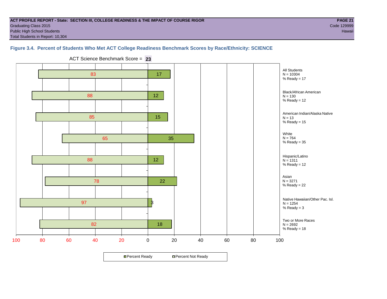#### **ACT PROFILE REPORT - State: SECTION III, COLLEGE READINESS & THE IMPACT OF COURSE RIGOR PAGE 21** Graduating Class 2015 Code 129999 Public High School Students **Hawaii** Hawaii Alexander School Students Hawaii Alexander School Students Hawaii Hawaii Total Students in Report: 10,304

#### **Figure 3.4. Percent of Students Who Met ACT College Readiness Benchmark Scores by Race/Ethnicity: SCIENCE**

82 97 78 88 65 85 88 83 18 3 22 12 35 15 12 17 100 80 60 40 20 0 20 40 60 80 100 All Students  $N = 10304$ %  $Reach = 17$ Black/African American  $N = 130$ %  $Ready = 12$ American Indian/Alaska Native  $N = 13$ % Ready =  $15$ White  $N = 764$  $%$  Ready = 35 Hispanic/Latino  $N = 1311$ %  $Ready = 12$ Asian N = 3271 %  $Ready = 22$ Two or More Races  $N = 2692$ %  $Reach = 18$ Native Hawaiian/Other Pac. Isl.  $N = 1254$  $%$  Ready = 3

ACT Science Benchmark Score = **23**

**□ Percent Ready DPercent Not Ready**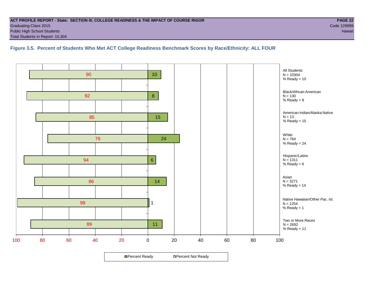#### **ACT PROFILE REPORT - State: SECTION III, COLLEGE READINESS & THE IMPACT OF COURSE RIGOR PAGE 22** Graduating Class 2015 Code 129999 Public High School Students **Hawaii** Hawaii Alexander School Students Hawaii Alexander School Students Hawaii Hawaii Total Students in Report: 10,304

**Figure 3.5. Percent of Students Who Met ACT College Readiness Benchmark Scores by Race/Ethnicity: ALL FOUR**

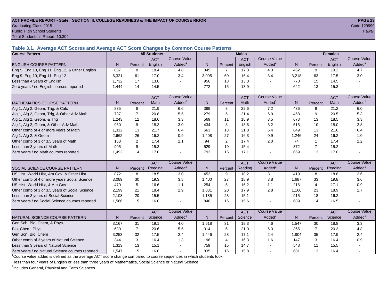#### **ACT PROFILE REPORT - State: SECTION III, COLLEGE READINESS & THE IMPACT OF COURSE RIGOR PAGE 23** Graduating Class 2015 Code 129999 Public High School Students Hawaii and the control of the control of the control of the control of the control of the control of the control of the control of the control of the control of the control of the control of the

Total Students in Report: 10,304

**Table 3.1. Average ACT Scores and Average ACT Score Changes by Common Course Patterns**

| <b>Course Pattern</b>                            |       |                | <b>All Students</b> |                       |              |                | <b>Males</b> |                       |                |                | <b>Females</b> |                        |
|--------------------------------------------------|-------|----------------|---------------------|-----------------------|--------------|----------------|--------------|-----------------------|----------------|----------------|----------------|------------------------|
|                                                  |       |                | <b>ACT</b>          | <b>Course Value</b>   |              |                | <b>ACT</b>   | <b>Course Value</b>   |                |                | <b>ACT</b>     | <b>Course Value</b>    |
| <b>ENGLISH COURSE PATTERN</b>                    | N.    | Percent        | English             | Added                 | $\mathsf{N}$ | Percent        | English      | Added                 | N              | Percent        | English        | $A$ dded <sup>1</sup>  |
| Eng 9, Eng 10, Eng 11, Eng 12, & Other English   | 807   | 8              | 18.4                | 4.8                   | 345          | $\overline{7}$ | 17.3         | 4.3                   | 462            | 9              | 19.2           | 4.7                    |
| Eng 9, Eng 10, Eng 11, Eng 12                    | 6.321 | 61             | 17.0                | 3.4                   | 3,095        | 60             | 16.4         | 3.4                   | 3,218          | 63             | 17.5           | 3.0                    |
| Less than 4 years of English                     | 1,732 | 17             | 13.6                |                       | 956          | 18             | 13.0         | $\overline{a}$        | 770            | 15             | 14.5           |                        |
| Zero years / no English courses reported         | 1,444 | 14             | 14.5                |                       | 772          | 15             | 13.9         |                       | 642            | 13             | 15.3           |                        |
|                                                  |       |                | <b>ACT</b>          | <b>Course Value</b>   |              |                | <b>ACT</b>   | <b>Course Value</b>   |                |                | <b>ACT</b>     | <b>Course Value</b>    |
| <b>IMATHEMATICS COURSE PATTERN</b>               | N.    | Percent        | Math                | $A$ dded <sup>1</sup> | $\mathsf{N}$ | Percent        | Math         | Added <sup>1</sup>    | $\overline{N}$ | Percent        | <b>Math</b>    | $A$ dded <sup>1</sup>  |
| Alg 1, Alg 2, Geom, Trig, & Calc                 | 835   | 8              | 21.9                | 6.6                   | 399          | 8              | 22.6         | 7.2                   | 436            | 9              | 21.2           | 6.0                    |
| Alg 1, Alg 2, Geom, Trig, & Other Adv Math       | 737   | $\overline{7}$ | 20.8                | 5.5                   | 279          | 5              | 21.4         | 6.0                   | 458            | 9              | 20.5           | 5.3                    |
| Alg 1, Alg 2, Geom, & Trig                       | 1,243 | 12             | 18.6                | 3.3                   | 569          | 11             | 18.9         | 3.5                   | 673            | 13             | 18.5           | 3.3                    |
| Alg 1, Alg 2, Geom, & Other Adv Math             | 950   | 9              | 18.3                | 3.0                   | 434          | 8              | 18.6         | 3.2                   | 515            | 10             | 18.0           | 2.8                    |
| Other comb of 4 or more years of Math            | 1,312 | 13             | 21.7                | 6.4                   | 663          | 13             | 21.8         | 6.4                   | 649            | 13             | 21.6           | 6.4                    |
| Alg 1, Alg 2, & Geom                             | 2,662 | 26             | 16.2                | 0.9                   | 1,408        | 27             | 16.3         | 0.9                   | 1,246          | 24             | 16.2           | 1.0                    |
| Other comb of 3 or 3.5 years of Math             | 168   | 2              | 17.4                | 2.1                   | 94           | 2              | 17.4         | 2.0                   | 74             | $\mathbf{1}$   | 17.4           | 2.2                    |
| Less than 3 years of Math                        | 905   | 9              | 15.3                |                       | 529          | 10             | 15.4         | $\sim$                | 372            | $\overline{7}$ | 15.2           |                        |
| Zero years / no Math courses reported            | 1.492 | 14             | 17.0                |                       | 793          | 15             | 17.1         | L,                    | 669            | 13             | 17.0           |                        |
|                                                  |       |                | <b>ACT</b>          | <b>Course Value</b>   |              |                | <b>ACT</b>   | <b>Course Value</b>   |                |                | <b>ACT</b>     | <b>Course Value</b>    |
| <b>I</b> SOCIAL SCIENCE COURSE PATTERN           | N.    | Percent        | Reading             | Added <sup>1</sup>    | $\mathsf{N}$ | Percent        | Reading      | Added                 | N              | Percent        | Reading        | A d d e d <sup>1</sup> |
| US Hist, World Hist, Am Gov, & Other Hist        | 872   | 8              | 18.5                | 3.0                   | 452          | 9              | 18.2         | 3.1                   | 419            | 8              | 18.8           | 2.6                    |
| Other comb of 4 or more years Social Science     | 3,089 | 30             | 19.3                | 3.8                   | 1,400        | 27             | 18.9         | 3.8                   | 1,687          | 33             | 19.8           | 3.6                    |
| US Hist, World Hist, & Am Gov                    | 470   | 5              | 16.6                | 1.1                   | 254          | 5              | 16.2         | 1.1                   | 216            | $\overline{4}$ | 17.1           | 0.9                    |
| Other comb of 3 or 3.5 years of Social Science   | 2,199 | 21             | 18.4                | 2.9                   | 1,031        | 20             | 17.9         | 2.8                   | 1,166          | 23             | 18.9           | 2.7                    |
| Less than 3 years of Social Science              | 2,108 | 20             | 15.5                |                       | 1,185        | 23             | 15.1         | $\tilde{\phantom{a}}$ | 915            | 18             | 16.2           |                        |
| Zero years / no Social Science courses reported  | 1.566 | 15             | 16.0                |                       | 846          | 16             | 15.6         | $\blacksquare$        | 689            | 14             | 16.5           |                        |
|                                                  |       |                | <b>ACT</b>          | <b>Course Value</b>   |              |                | <b>ACT</b>   | <b>Course Value</b>   |                |                | <b>ACT</b>     | <b>Course Value</b>    |
| NATURAL SCIENCE COURSE PATTERN                   | N.    | Percent        | Science             | Added <sup>1</sup>    | $\mathsf{N}$ | Percent        | Science      | Added <sup>1</sup>    | $\overline{N}$ | Percent        | Science        | A d d e d <sup>1</sup> |
| Gen Sci <sup>2</sup> , Bio, Chem, & Phys         | 3.167 | 31             | 19.1                | 4.0                   | 1,618        | 31             | 19.3         | 4.6                   | 1,547          | 30             | 18.8           | 3.3                    |
| Bio, Chem, Phys                                  | 680   | $\overline{7}$ | 20.6                | 5.5                   | 314          | 6              | 21.0         | 6.3                   | 365            | $\overline{7}$ | 20.3           | 4.8                    |
| Gen Sci <sup>2</sup> , Bio, Chem                 | 3,253 | 32             | 17.5                | 2.4                   | 1,446        | 28             | 17.1         | 2.4                   | 1,804          | 35             | 17.9           | 2.4                    |
| Other comb of 3 years of Natural Science         | 344   | 3              | 16.4                | 1.3                   | 196          | $\overline{4}$ | 16.3         | 1.6                   | 147            | 3              | 16.4           | 0.9                    |
| Less than 3 years of Natural Science             | 1,313 | 13             | 15.1                |                       | 759          | 15             | 14.7         |                       | 548            | 11             | 15.5           |                        |
| Zero years / no Natural Science courses reported | 1,547 | 15             | 16.0                |                       | 835          | 16             | 15.8         | $\sim$                | 681            | 13             | 16.4           |                        |

<sup>1</sup>Course value added is defined as the average ACT score change compared to course sequences in which students took

less than four years of English or less than three years of Mathematics, Social Science or Natural Science.

<sup>2</sup>Includes General, Physical and Earth Sciences.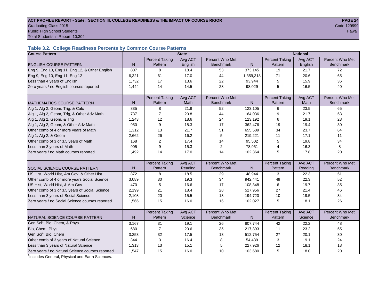#### ACT PROFILE REPORT - State: SECTION III, COLLEGE READINESS & THE IMPACT OF COURSE RIGOR **PAGE 24** Graduating Class 2015 Code 129999 Public High School Students Hawaii

Total Students in Report: 10,304

### **Table 3.2. College Readiness Percents by Common Course Patterns**

| <b>Course Pattern</b>                            |              |                       | <b>State</b> |                  |           |                       | <b>National</b> |                  |
|--------------------------------------------------|--------------|-----------------------|--------------|------------------|-----------|-----------------------|-----------------|------------------|
|                                                  |              | <b>Percent Taking</b> | Avg ACT      | Percent Who Met  |           | <b>Percent Taking</b> | Avg ACT         | Percent Who Met  |
| <b>ENGLISH COURSE PATTERN</b>                    | $\mathsf{N}$ | Pattern               | English      | <b>Benchmark</b> | N         | Pattern               | English         | <b>Benchmark</b> |
| Eng 9, Eng 10, Eng 11, Eng 12, & Other English   | 807          | 8                     | 18.4         | 53               | 373,145   | 19                    | 21.7            | 72               |
| Eng 9, Eng 10, Eng 11, Eng 12                    | 6,321        | 61                    | 17.0         | 44               | 1,359,318 | 71                    | 20.6            | 65               |
| Less than 4 years of English                     | 1,732        | 17                    | 13.6         | 22               | 93,944    | 5                     | 15.9            | 36               |
| Zero years / no English courses reported         | 1,444        | 14                    | 14.5         | 28               | 98,029    | 5                     | 16.5            | 40               |
|                                                  |              |                       |              |                  |           |                       |                 |                  |
|                                                  |              | <b>Percent Taking</b> | Avg ACT      | Percent Who Met  |           | <b>Percent Taking</b> | Avg ACT         | Percent Who Met  |
| IMATHEMATICS COURSE PATTERN                      | N            | Pattern               | Math         | <b>Benchmark</b> | ${\sf N}$ | Pattern               | Math            | Benchmark        |
| Alg 1, Alg 2, Geom, Trig, & Calc                 | 835          | 8                     | 21.9         | 52               | 123,105   | 6                     | 23.5            | 65               |
| Alg 1, Alg 2, Geom, Trig, & Other Adv Math       | 737          | $\overline{7}$        | 20.8         | 44               | 164,036   | 9                     | 21.7            | 53               |
| Alg 1, Alg 2, Geom, & Trig                       | 1,243        | 12                    | 18.6         | 24               | 123,192   | 6                     | 19.1            | 28               |
| Alg 1, Alg 2, Geom, & Other Adv Math             | 950          | 9                     | 18.3         | 17               | 362,476   | 19                    | 19.4            | 30               |
| Other comb of 4 or more years of Math            | 1,312        | 13                    | 21.7         | 51               | 655,589   | 34                    | 23.7            | 64               |
| Alg 1, Alg 2, & Geom                             | 2,662        | 26                    | 16.2         | 5                | 219,221   | 11                    | 17.1            | 11               |
| Other comb of 3 or 3.5 years of Math             | 168          | $\overline{2}$        | 17.4         | 14               | 95,502    | 5                     | 19.8            | 34               |
| Less than 3 years of Math                        | 905          | 9                     | 15.3         | 2                | 78,951    | 4                     | 16.3            | 8                |
| Zero years / no Math courses reported            | 1,492        | 14                    | 17.0         | 14               | 102,364   | 5                     | 17.8            | 20               |
|                                                  |              |                       |              |                  |           |                       |                 |                  |
|                                                  |              | <b>Percent Taking</b> | Avg ACT      | Percent Who Met  |           | <b>Percent Taking</b> | Avg ACT         | Percent Who Met  |
| <b>SOCIAL SCIENCE COURSE PATTERN</b>             | N            | Pattern               | Reading      | <b>Benchmark</b> | N         | Pattern               | Reading         | <b>Benchmark</b> |
| US Hist, World Hist, Am Gov, & Other Hist        | 872          | 8                     | 18.5         | 29               | 48,944    | 3                     | 22.3            | 51               |
| Other comb of 4 or more years Social Science     | 3,089        | 30                    | 19.3         | 34               | 942,441   | 49                    | 22.3            | 52               |
| US Hist, World Hist, & Am Gov                    | 470          | 5                     | 16.6         | 17               | 108,348   | 6                     | 19.7            | 35               |
| Other comb of 3 or 3.5 years of Social Science   | 2,199        | 21                    | 18.4         | 28               | 527,956   | 27                    | 21.4            | 46               |
| Less than 3 years of Social Science              | 2,108        | 20                    | 15.5         | 13               | 194,720   | 10                    | 19.5            | 34               |
| Zero years / no Social Science courses reported  | 1,566        | 15                    | 16.0         | 16               | 102,027   | 5                     | 18.1            | 26               |
|                                                  |              |                       |              |                  |           |                       |                 |                  |
|                                                  |              | <b>Percent Taking</b> | Avg ACT      | Percent Who Met  |           | <b>Percent Taking</b> | Avg ACT         | Percent Who Met  |
| NATURAL SCIENCE COURSE PATTERN                   | N            | Pattern               | Science      | <b>Benchmark</b> | N         | Pattern               | Science         | <b>Benchmark</b> |
| Gen Sci <sup>1</sup> , Bio, Chem, & Phys         | 3,167        | 31                    | 19.1         | 26               | 807,744   | 42                    | 22.2            | 48               |
| Bio, Chem, Phys                                  | 680          | $\overline{7}$        | 20.6         | 35               | 217,893   | 11                    | 23.2            | 55               |
| Gen Sci <sup>1</sup> , Bio, Chem                 | 3,253        | 32                    | 17.5         | 13               | 512,754   | 27                    | 20.1            | 30               |
| Other comb of 3 years of Natural Science         | 344          | 3                     | 16.4         | 8                | 54,439    | 3                     | 19.1            | 24               |
| Less than 3 years of Natural Science             | 1,313        | 13                    | 15.1         | 5                | 227,926   | 12                    | 18.1            | 18               |
| Zero years / no Natural Science courses reported | 1,547        | 15                    | 16.0         | 10               | 103,680   | 5                     | 18.0            | 20               |

<sup>1</sup>Includes General, Physical and Earth Sciences.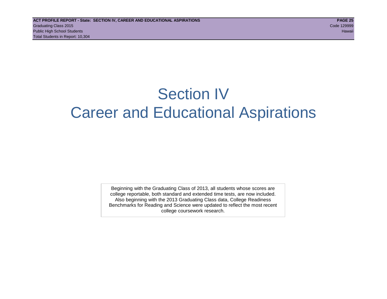## Section IV Career and Educational Aspirations

Beginning with the Graduating Class of 2013, all students whose scores are college reportable, both standard and extended time tests, are now included. Also beginning with the 2013 Graduating Class data, College Readiness Benchmarks for Reading and Science were updated to reflect the most recent college coursework research.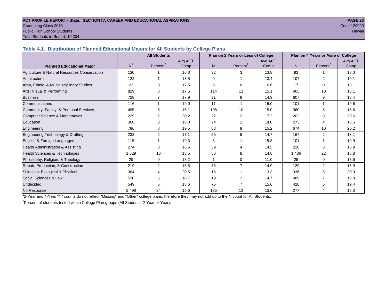## **ACT PROFILE REPORT - State: SECTION IV, CAREER AND EDUCATIONAL ASPIRATIONS PAGE 26** Graduating Class 2015 Code 129999

Public High School Students

Total Students in Report: 10,304

| Table 4.1. Distribution of Planned Educational Majors for All Students by College Plans |  |  |  |  |
|-----------------------------------------------------------------------------------------|--|--|--|--|
|                                                                                         |  |  |  |  |

|                                              |                | <b>All Students</b> |                 |     | Plan on 2 Years or Less of College |                 | Plan on 4 Years or More of College |                      |                 |  |
|----------------------------------------------|----------------|---------------------|-----------------|-----|------------------------------------|-----------------|------------------------------------|----------------------|-----------------|--|
| <b>Planned Educational Major</b>             | N <sup>1</sup> | Percent $2$         | Avg ACT<br>Comp | N.  | Percent <sup>2</sup>               | Avg ACT<br>Comp | N                                  | Percent <sup>2</sup> | Avg ACT<br>Comp |  |
| Agriculture & Natural Resources Conservation | 130            |                     | 16.8            | 32  | 3                                  | 13.8            | 93                                 |                      | 18.0            |  |
| Architecture                                 | 122            |                     | 18.5            | 9   |                                    | 13.4            | 107                                | 2                    | 19.1            |  |
| Area, Ethnic, & Multidisciplinary Studies    | 23             |                     | 17.5            | 5   | 0                                  | 16.6            | 17                                 | $\Omega$             | 18.1            |  |
| Arts: Visual & Performing                    | 829            | 8                   | 17.5            | 114 | 11                                 | 15.1            | 665                                | 10                   | 18.1            |  |
| <b>Business</b>                              | 728            |                     | 17.9            | 91  | 9                                  | 14.9            | 607                                | 9                    | 18.4            |  |
| Communications                               | 116            |                     | 19.0            | 11  | 1                                  | 15.0            | 101                                |                      | 19.6            |  |
| Community, Family, & Personal Services       | 495            | 5                   | 16.1            | 108 | 10                                 | 15.0            | 360                                | 5                    | 16.6            |  |
| Computer Science & Mathematics               | 229            | 2                   | 20.2            | 22  | $\overline{2}$                     | 17.2            | 202                                | 3                    | 20.6            |  |
| Education                                    | 306            | 3                   | 18.0            | 24  | $\overline{2}$                     | 14.0            | 273                                | Δ                    | 18.5            |  |
| Engineering                                  | 786            | 8                   | 19.5            | 88  | 8                                  | 15.2            | 674                                | 10                   | 20.2            |  |
| Engineering Technology & Drafting            | 233            | 2                   | 17.1            | 56  | 5                                  | 14.7            | 167                                | 2                    | 18.1            |  |
| English & Foreign Languages                  | 115            |                     | 19.3            | 8   |                                    | 15.8            | 101                                |                      | 19.9            |  |
| Health Administration & Assisting            | 274            | 3                   | 16.5            | 39  | 4                                  | 14.5            | 220                                | 3                    | 16.9            |  |
| Health Sciences & Technologies               | 1,629          | 16                  | 18.5            | 86  | 8                                  | 14.8            | 1.486                              | 22                   | 18.8            |  |
| Philosophy, Religion, & Theology             | 29             | 0                   | 18.2            |     | 0                                  | 11.0            | 25                                 | $\Omega$             | 18.6            |  |
| Repair, Production, & Construction           | 219            | 2                   | 15.5            | 75  | $\overline{7}$                     | 14.9            | 129                                | $\overline{2}$       | 15.9            |  |
| Sciences: Biological & Physical              | 364            |                     | 20.5            | 15  |                                    | 13.3            | 336                                | 5                    | 20.9            |  |
| Social Sciences & Law                        | 530            | 5                   | 18.7            | 19  | 2                                  | 14.7            | 489                                |                      | 18.8            |  |
| <b>Undecided</b>                             | 549            | 5                   | 18.6            | 75  |                                    | 15.6            | 420                                | 6                    | 19.4            |  |
| No Response                                  | 2,498          | 24                  | 15.6            | 135 | 13                                 | 13.6            | 277                                | 4                    | 15.3            |  |

1 2-Year and 4-Year "N" counts do not reflect "Missing" and "Other" college plans, therefore they may not add up to the N count for All Students.

<sup>2</sup> Percent of students tested within College Plan groups (All Students, 2-Year, 4-Year).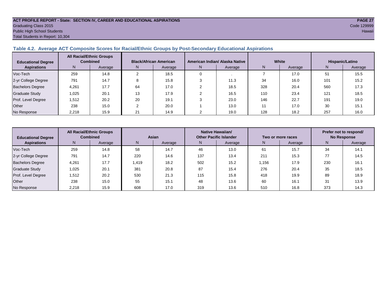#### **ACT PROFILE REPORT - State: SECTION IV, CAREER AND EDUCATIONAL ASPIRATIONS PAGE 27** Graduating Class 2015 Code 129999 Public High School Students Hawaii Total Students in Report: 10,304

#### **Table 4.2. Average ACT Composite Scores for Racial/Ethnic Groups by Post-Secondary Educational Aspirations**

| <b>Educational Degree</b> |       | <b>All Racial/Ethnic Groups</b><br><b>Combined</b> |    | <b>Black/African American</b> |    | American Indian/ Alaska Native |     | White   |     | Hispanic/Latino |
|---------------------------|-------|----------------------------------------------------|----|-------------------------------|----|--------------------------------|-----|---------|-----|-----------------|
| <b>Aspirations</b>        | N     | Average                                            | N. | Average                       | N. | Average                        | N   | Average | N   | Average         |
| Voc-Tech                  | 259   | 14.8                                               |    | 18.5                          |    |                                |     | 17.0    | 51  | 15.5            |
| 2-yr College Degree       | 791   | 14.7                                               |    | 15.8                          |    | 11.3                           | 34  | 16.0    | 101 | 15.2            |
| <b>Bachelors Degree</b>   | 4,261 | 17.7                                               | 64 | 17.0                          |    | 18.5                           | 328 | 20.4    | 560 | 17.3            |
| Graduate Study            | 1.025 | 20.1                                               | 13 | 17.9                          |    | 16.5                           | 110 | 23.4    | 121 | 18.5            |
| Prof. Level Degree        | 1,512 | 20.2                                               | 20 | 19.1                          |    | 23.0                           | 146 | 22.7    | 191 | 19.0            |
| Other                     | 238   | 15.0                                               |    | 20.0                          |    | 13.0                           |     | 17.0    | 30  | 15.1            |
| No Response               | 2,218 | 15.9                                               | 21 | 14.9                          |    | 19.0                           | 128 | 18.2    | 257 | 16.0            |

| <b>Educational Degree</b> | <b>All Racial/Ethnic Groups</b><br><b>Combined</b> |         | Asian |         | Native Hawaiian/<br><b>Other Pacific Islander</b> |         | Two or more races |         | Prefer not to respond/<br><b>No Response</b> |         |  |
|---------------------------|----------------------------------------------------|---------|-------|---------|---------------------------------------------------|---------|-------------------|---------|----------------------------------------------|---------|--|
| <b>Aspirations</b>        | N                                                  | Average | N     | Average | N.                                                | Average | N.                | Average | Ν                                            | Average |  |
| Voc-Tech                  | 259                                                | 14.8    | 58    | 14.7    | 46                                                | 13.0    | 61                | 15.7    | 34                                           | 14.1    |  |
| 2-yr College Degree       | 791                                                | 14.7    | 220   | 14.6    | 137                                               | 13.4    | 211               | 15.3    | 77                                           | 14.5    |  |
| <b>Bachelors Degree</b>   | 4,261                                              | 17.7    | 1.419 | 18.2    | 502                                               | 15.2    | 1.156             | 17.9    | 230                                          | 16.1    |  |
| <b>Graduate Study</b>     | 1,025                                              | 20.1    | 381   | 20.8    | 87                                                | 15.4    | 276               | 20.4    | 35                                           | 18.5    |  |
| Prof. Level Degree        | 512. ا                                             | 20.2    | 530   | 21.3    | 115                                               | 15.8    | 418               | 19.9    | 89                                           | 18.9    |  |
| Other                     | 238                                                | 15.0    | 55    | 15.1    | 48                                                | 13.6    | 60                | 16.1    | 31                                           | 13.9    |  |
| No Response               | 2,218                                              | 15.9    | 608   | 17.0    | 319                                               | 13.6    | 510               | 16.8    | 373                                          | 14.3    |  |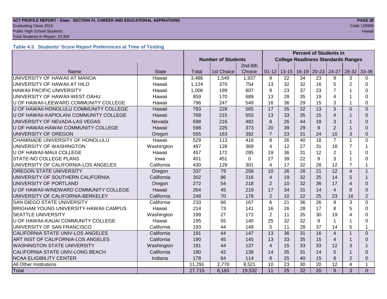#### **ACT PROFILE REPORT - State: SECTION IV, CAREER AND EDUCATIONAL ASPIRATIONS PAGE 28 Graduating Class 2015** Code 129999 Public High School Students Hawaii

Total Students in Report: 10,304

#### **Table 4.3. Students' Score Report Preferences at Time of Testing**

|                                               |              |                           |                                           |          | <b>Percent of Students in</b> |                 |                 |                 |                |                         |                |
|-----------------------------------------------|--------------|---------------------------|-------------------------------------------|----------|-------------------------------|-----------------|-----------------|-----------------|----------------|-------------------------|----------------|
|                                               |              | <b>Number of Students</b> | <b>College Readiness Standards Ranges</b> |          |                               |                 |                 |                 |                |                         |                |
|                                               |              |                           |                                           | 2nd-6th  |                               |                 |                 |                 |                |                         |                |
| Name                                          | <b>State</b> | Total                     | 1st Choice                                | Choice   | $01 - 12$                     | $13 - 15$       | $16-19$         | $20 - 23$       | 24-27          | $28 - 32$               | 33-36          |
| UNIVERSITY OF HAWAII AT MANOA                 | Hawaii       | 3,486                     | 1,549                                     | 1,937    | 9                             | 22              | 34              | 23              | 9              | 3                       | 0              |
| UNIVERSITY OF HAWAII AT HILO                  | Hawaii       | 1,124                     | 370                                       | 754      | 13                            | 32              | 32              | 16              | 5              | $\overline{2}$          | 0              |
| <b>HAWAII PACIFIC UNIVERSITY</b>              | Hawaii       | 1,006                     | 199                                       | 807      | 9                             | 23              | 37              | 23              | $\overline{7}$ |                         | $\Omega$       |
| UNIVERSITY OF HAWAII-WEST OAHU                | Hawaii       | 859                       | 170                                       | 689      | 13                            | 28              | 35              | 19              | 4              |                         | 0              |
| U OF HAWAII-LEEWARD COMMUNITY COLLEGE         | Hawaii       | 796                       | 247                                       | 549      | 16                            | 36              | 29              | 15              | 3              |                         | 0              |
| U OF HAWAII-HONOLULU COMMUNITY COLLEGE        | Hawaii       | 793                       | 228                                       | 565      | $\overline{17}$               | $\overline{35}$ | 32              | 13              | 3              | $\Omega$                | $\Omega$       |
| U OF HAWAII-KAPIOLANI COMMUNITY COLLEGE       | Hawaii       | 768                       | 215                                       | 553      | 13                            | 33              | 35              | 15              | $\overline{4}$ |                         | $\Omega$       |
| UNIVERSITY OF NEVADA-LAS VEGAS                | Nevada       | 698                       | 216                                       | 482      | 8                             | 26              | 44              | 18              | 3              |                         | 0              |
| U OF HAWAII-HAWAII COMMUNITY COLLEGE          | Hawaii       | 598                       | 225                                       | 373      | 20                            | 39              | 29              | 9               | $\overline{2}$ |                         | $\Omega$       |
| UNIVERSITY OF OREGON                          | Oregon       | 555                       | 163                                       | 392      | $\overline{7}$                | 23              | 31              | 24              | 10             | 3                       | $\Omega$       |
| CHAMINADE UNIVERSITY OF HONOLULU              | Hawaii       | 529                       | 113                                       | 416      | 8                             | 26              | 40              | 18              | $\overline{7}$ | 1                       | $\Omega$       |
| UNIVERSITY OF WASHINGTON                      | Washington   | 497                       | 128                                       | 369      | 4                             | 12              | 27              | 31              | 18             | $\overline{7}$          | 1              |
| <b>U OF HAWAII-MAUI COLLEGE</b>               | Hawaii       | 457                       | 172                                       | 285      | 19                            | 36              | 31              | 12              | $\overline{2}$ |                         | 0              |
| <b>STATE-NO COLLEGE PLANS</b>                 | lowa         | 451                       | 451                                       | $\Omega$ | 27                            | 39              | 22              | 9               | 3              |                         | 0              |
| UNIVERSITY OF CALIFORNIA-LOS ANGELES          | California   | 430                       | 129                                       | 301      | 4                             | 17              | 32              | 28              | 12             | 7                       | 1              |
| <b>OREGON STATE UNIVERSITY</b>                | Oregon       | 337                       | 79                                        | 258      | 10                            | 26              | 26              | 21              | 12             | $\overline{\mathbf{4}}$ | $\mathbf{1}$   |
| UNIVERSITY OF SOUTHERN CALIFORNIA             | California   | 302                       | 86                                        | 216      | 4                             | 19              | 32              | 25              | 14             | 5                       |                |
| UNIVERSITY OF PORTLAND                        | Oregon       | 272                       | 54                                        | 218      | $\overline{2}$                | 10              | 32              | 36              | 17             | $\overline{4}$          | $\Omega$       |
| U OF HAWAII-WINDWARD COMMUNITY COLLEGE        | Hawaii       | 264                       | 45                                        | 219      | 17                            | 34              | 31              | 14              | $\overline{4}$ | $\Omega$                | $\Omega$       |
| UNIVERSITY OF CALIFORNIA-BERKELEY             | California   | 248                       | 70                                        | 178      | $\overline{2}$                | 10              | 22              | 25              | 23             | 16                      | $\overline{2}$ |
| <b>SAN DIEGO STATE UNIVERSITY</b>             | California   | 233                       | 66                                        | 167      | 6                             | 21              | 36              | 26              | 9              | 3                       | $\Omega$       |
| <b>BRIGHAM YOUNG UNIVERSITY-HAWAII CAMPUS</b> | Hawaii       | 214                       | 73                                        | 141      | 16                            | 26              | 28              | 17              | 8              | 5                       | 0              |
| <b>SEATTLE UNIVERSITY</b>                     | Washington   | 199                       | 27                                        | 172      | $\overline{2}$                | 11              | 35              | 30              | 19             | 4                       | $\Omega$       |
| U OF HAWAII-KAUAI COMMUNITY COLLEGE           | Hawaii       | 195                       | 55                                        | 140      | 25                            | 32              | 32              | 9               | 1              |                         | 0              |
| UNIVERSITY OF SAN FRANCISCO                   | California   | 193                       | 44                                        | 149      | 5                             | 11              | 28              | 37              | 14             | 5                       | 1              |
| CALIFORNIA STATE UNIV-LOS ANGELES             | California   | 191                       | 44                                        | 147      | $\overline{13}$               | 36              | 31              | 16              | $\overline{4}$ |                         | $\Omega$       |
| ART INST OF CALIFORNIA-LOS ANGELES            | California   | 190                       | 45                                        | 145      | 13                            | 33              | 35              | 15              | $\overline{4}$ |                         | $\Omega$       |
| <b>WASHINGTON STATE UNIVERSITY</b>            | Washington   | 181                       | 44                                        | 137      | 4                             | 15              | 33              | 33              | 12             | 3                       |                |
| CALIFORNIA STATE UNIV-LONG BEACH              | California   | 180                       | 42                                        | 138      | 14                            | 35              | 31              | 14              | 5              |                         | $\Omega$       |
| <b>NCAA ELIGIBILITY CENTER</b>                | Indiana      | 178                       | 64                                        | 114      | 8                             | 25              | 40              | 15              | 8              | $\overline{2}$          | $\Omega$       |
| <b>All Other Institutions</b>                 |              | 11,291                    | 2,770                                     | 8,521    | 10                            | 23              | 30              | 20              | 12             | 4                       | $\mathbf 1$    |
| Total                                         |              | 27,715                    | 8,183                                     | 19,532   | $\overline{11}$               | $\overline{25}$ | $\overline{32}$ | $\overline{20}$ | 9              | 3                       | $\Omega$       |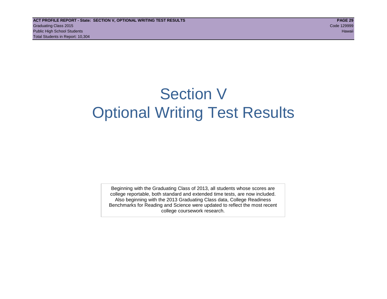## Section V Optional Writing Test Results

Beginning with the Graduating Class of 2013, all students whose scores are college reportable, both standard and extended time tests, are now included. Also beginning with the 2013 Graduating Class data, College Readiness Benchmarks for Reading and Science were updated to reflect the most recent college coursework research.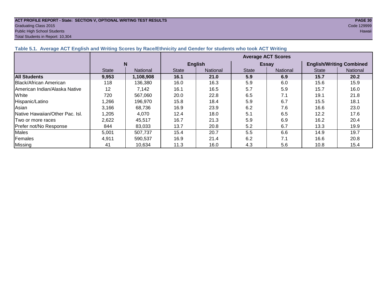#### **ACT PROFILE REPORT - State: SECTION V, OPTIONAL WRITING TEST RESULTS PAGE 30** Graduating Class 2015 Code 129999 Public High School Students Hawaii

Total Students in Report: 10,304

| Table 3.1. Average AVT English and Whiting Stores by Race/Edimitity and Oender for Students who took AVT Whiting |              |                 |                           |                 |              |                 |                                 |          |  |  |  |
|------------------------------------------------------------------------------------------------------------------|--------------|-----------------|---------------------------|-----------------|--------------|-----------------|---------------------------------|----------|--|--|--|
|                                                                                                                  |              |                 | <b>Average ACT Scores</b> |                 |              |                 |                                 |          |  |  |  |
|                                                                                                                  | N            |                 |                           | <b>English</b>  |              | <b>Essay</b>    | <b>English/Writing Combined</b> |          |  |  |  |
|                                                                                                                  | <b>State</b> | <b>National</b> | <b>State</b>              | <b>National</b> | <b>State</b> | <b>National</b> | <b>State</b>                    | National |  |  |  |
| <b>All Students</b>                                                                                              | 9,953        | 1,108,908       | 16.1                      | 21.0            | 5.9          | 6.9             | 15.7                            | 20.2     |  |  |  |
| <b>Black/African American</b>                                                                                    | 118          | 136,380         | 16.0                      | 16.3            | 5.9          | 6.0             | 15.6                            | 15.9     |  |  |  |
| American Indian/Alaska Native                                                                                    | 12           | 7.142           | 16.1                      | 16.5            | 5.7          | 5.9             | 15.7                            | 16.0     |  |  |  |
| White                                                                                                            | 720          | 567,060         | 20.0                      | 22.8            | 6.5          | 7.1             | 19.1                            | 21.8     |  |  |  |
| Hispanic/Latino                                                                                                  | 1,266        | 196,970         | 15.8                      | 18.4            | 5.9          | 6.7             | 15.5                            | 18.1     |  |  |  |
| Asian                                                                                                            | 3,166        | 68.736          | 16.9                      | 23.9            | 6.2          | 7.6             | 16.6                            | 23.0     |  |  |  |
| Native Hawaiian/Other Pac. Isl.                                                                                  | 1,205        | 4.070           | 12.4                      | 18.0            | 5.1          | 6.5             | 12.2                            | 17.6     |  |  |  |
| Two or more races                                                                                                | 2,622        | 45.517          | 16.7                      | 21.3            | 5.9          | 6.9             | 16.2                            | 20.4     |  |  |  |
| Prefer not/No Response                                                                                           | 844          | 83,033          | 13.7                      | 20.8            | 5.2          | 6.7             | 13.3                            | 19.9     |  |  |  |
| Males                                                                                                            | 5,001        | 507,737         | 15.4                      | 20.7            | 5.5          | 6.6             | 14.9                            | 19.7     |  |  |  |
| Females                                                                                                          | 4,911        | 590.537         | 16.9                      | 21.4            | 6.2          | 7.1             | 16.6                            | 20.8     |  |  |  |
| Missing                                                                                                          | 41           | 10,634          | 11.3                      | 16.0            | 4.3          | 5.6             | 10.8                            | 15.4     |  |  |  |

#### **Table 5.1. Average ACT English and Writing Scores by Race/Ethnicity and Gender for students who took ACT Writing**